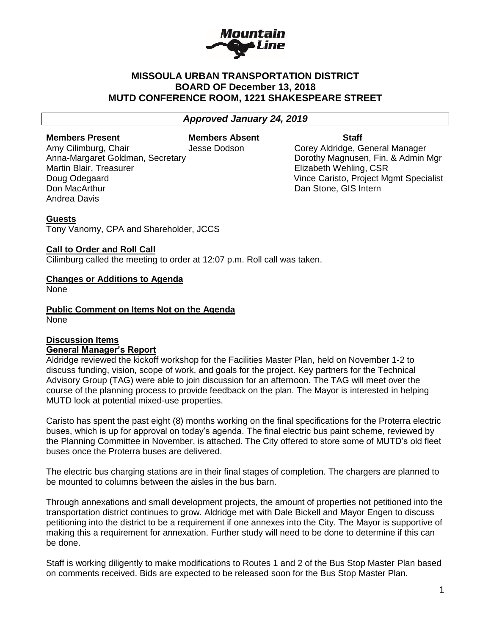

## **MISSOULA URBAN TRANSPORTATION DISTRICT BOARD OF December 13, 2018 MUTD CONFERENCE ROOM, 1221 SHAKESPEARE STREET**

*Approved January 24, 2019*

**Members Present Members Absent Staff** 

Martin Blair, Treasurer **Elizabeth Wehling, CSR** Don MacArthur Dan Stone, GIS Intern Andrea Davis

Amy Cilimburg, Chair **Jesse Dodson** Corey Aldridge, General Manager Anna-Margaret Goldman, Secretary **Dorothy Magnusen, Fin. & Admin Mgr** Doug Odegaard Vince Caristo, Project Mgmt Specialist

#### **Guests**

Tony Vanorny, CPA and Shareholder, JCCS

#### **Call to Order and Roll Call**

Cilimburg called the meeting to order at 12:07 p.m. Roll call was taken.

#### **Changes or Additions to Agenda**

None

**Public Comment on Items Not on the Agenda** None

#### **Discussion Items General Manager's Report**

Aldridge reviewed the kickoff workshop for the Facilities Master Plan, held on November 1-2 to discuss funding, vision, scope of work, and goals for the project. Key partners for the Technical Advisory Group (TAG) were able to join discussion for an afternoon. The TAG will meet over the course of the planning process to provide feedback on the plan. The Mayor is interested in helping MUTD look at potential mixed-use properties.

Caristo has spent the past eight (8) months working on the final specifications for the Proterra electric buses, which is up for approval on today's agenda. The final electric bus paint scheme, reviewed by the Planning Committee in November, is attached. The City offered to store some of MUTD's old fleet buses once the Proterra buses are delivered.

The electric bus charging stations are in their final stages of completion. The chargers are planned to be mounted to columns between the aisles in the bus barn.

Through annexations and small development projects, the amount of properties not petitioned into the transportation district continues to grow. Aldridge met with Dale Bickell and Mayor Engen to discuss petitioning into the district to be a requirement if one annexes into the City. The Mayor is supportive of making this a requirement for annexation. Further study will need to be done to determine if this can be done.

Staff is working diligently to make modifications to Routes 1 and 2 of the Bus Stop Master Plan based on comments received. Bids are expected to be released soon for the Bus Stop Master Plan.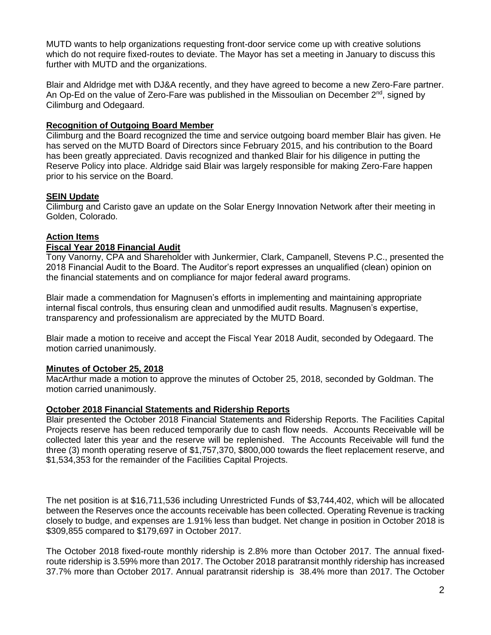MUTD wants to help organizations requesting front-door service come up with creative solutions which do not require fixed-routes to deviate. The Mayor has set a meeting in January to discuss this further with MUTD and the organizations.

Blair and Aldridge met with DJ&A recently, and they have agreed to become a new Zero-Fare partner. An Op-Ed on the value of Zero-Fare was published in the Missoulian on December  $2^{nd}$ , signed by Cilimburg and Odegaard.

## **Recognition of Outgoing Board Member**

Cilimburg and the Board recognized the time and service outgoing board member Blair has given. He has served on the MUTD Board of Directors since February 2015, and his contribution to the Board has been greatly appreciated. Davis recognized and thanked Blair for his diligence in putting the Reserve Policy into place. Aldridge said Blair was largely responsible for making Zero-Fare happen prior to his service on the Board.

# **SEIN Update**

Cilimburg and Caristo gave an update on the Solar Energy Innovation Network after their meeting in Golden, Colorado.

## **Action Items**

### **Fiscal Year 2018 Financial Audit**

Tony Vanorny, CPA and Shareholder with Junkermier, Clark, Campanell, Stevens P.C., presented the 2018 Financial Audit to the Board. The Auditor's report expresses an unqualified (clean) opinion on the financial statements and on compliance for major federal award programs.

Blair made a commendation for Magnusen's efforts in implementing and maintaining appropriate internal fiscal controls, thus ensuring clean and unmodified audit results. Magnusen's expertise, transparency and professionalism are appreciated by the MUTD Board.

Blair made a motion to receive and accept the Fiscal Year 2018 Audit, seconded by Odegaard. The motion carried unanimously.

### **Minutes of October 25, 2018**

MacArthur made a motion to approve the minutes of October 25, 2018, seconded by Goldman. The motion carried unanimously.

### **October 2018 Financial Statements and Ridership Reports**

Blair presented the October 2018 Financial Statements and Ridership Reports. The Facilities Capital Projects reserve has been reduced temporarily due to cash flow needs. Accounts Receivable will be collected later this year and the reserve will be replenished. The Accounts Receivable will fund the three (3) month operating reserve of \$1,757,370, \$800,000 towards the fleet replacement reserve, and \$1,534,353 for the remainder of the Facilities Capital Projects.

The net position is at \$16,711,536 including Unrestricted Funds of \$3,744,402, which will be allocated between the Reserves once the accounts receivable has been collected. Operating Revenue is tracking closely to budge, and expenses are 1.91% less than budget. Net change in position in October 2018 is \$309,855 compared to \$179,697 in October 2017.

The October 2018 fixed-route monthly ridership is 2.8% more than October 2017. The annual fixedroute ridership is 3.59% more than 2017. The October 2018 paratransit monthly ridership has increased 37.7% more than October 2017. Annual paratransit ridership is 38.4% more than 2017. The October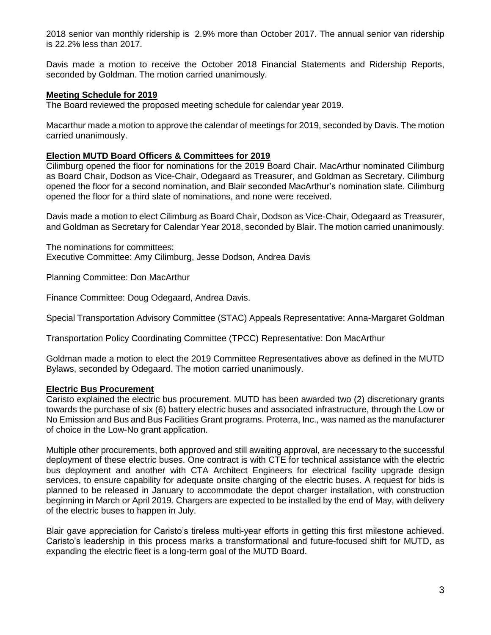2018 senior van monthly ridership is 2.9% more than October 2017. The annual senior van ridership is 22.2% less than 2017.

Davis made a motion to receive the October 2018 Financial Statements and Ridership Reports, seconded by Goldman. The motion carried unanimously.

#### **Meeting Schedule for 2019**

The Board reviewed the proposed meeting schedule for calendar year 2019.

Macarthur made a motion to approve the calendar of meetings for 2019, seconded by Davis. The motion carried unanimously.

#### **Election MUTD Board Officers & Committees for 2019**

Cilimburg opened the floor for nominations for the 2019 Board Chair. MacArthur nominated Cilimburg as Board Chair, Dodson as Vice-Chair, Odegaard as Treasurer, and Goldman as Secretary. Cilimburg opened the floor for a second nomination, and Blair seconded MacArthur's nomination slate. Cilimburg opened the floor for a third slate of nominations, and none were received.

Davis made a motion to elect Cilimburg as Board Chair, Dodson as Vice-Chair, Odegaard as Treasurer, and Goldman as Secretary for Calendar Year 2018, seconded by Blair. The motion carried unanimously.

The nominations for committees: Executive Committee: Amy Cilimburg, Jesse Dodson, Andrea Davis

Planning Committee: Don MacArthur

Finance Committee: Doug Odegaard, Andrea Davis.

Special Transportation Advisory Committee (STAC) Appeals Representative: Anna-Margaret Goldman

Transportation Policy Coordinating Committee (TPCC) Representative: Don MacArthur

Goldman made a motion to elect the 2019 Committee Representatives above as defined in the MUTD Bylaws, seconded by Odegaard. The motion carried unanimously.

#### **Electric Bus Procurement**

Caristo explained the electric bus procurement. MUTD has been awarded two (2) discretionary grants towards the purchase of six (6) battery electric buses and associated infrastructure, through the Low or No Emission and Bus and Bus Facilities Grant programs. Proterra, Inc., was named as the manufacturer of choice in the Low-No grant application.

Multiple other procurements, both approved and still awaiting approval, are necessary to the successful deployment of these electric buses. One contract is with CTE for technical assistance with the electric bus deployment and another with CTA Architect Engineers for electrical facility upgrade design services, to ensure capability for adequate onsite charging of the electric buses. A request for bids is planned to be released in January to accommodate the depot charger installation, with construction beginning in March or April 2019. Chargers are expected to be installed by the end of May, with delivery of the electric buses to happen in July.

Blair gave appreciation for Caristo's tireless multi-year efforts in getting this first milestone achieved. Caristo's leadership in this process marks a transformational and future-focused shift for MUTD, as expanding the electric fleet is a long-term goal of the MUTD Board.